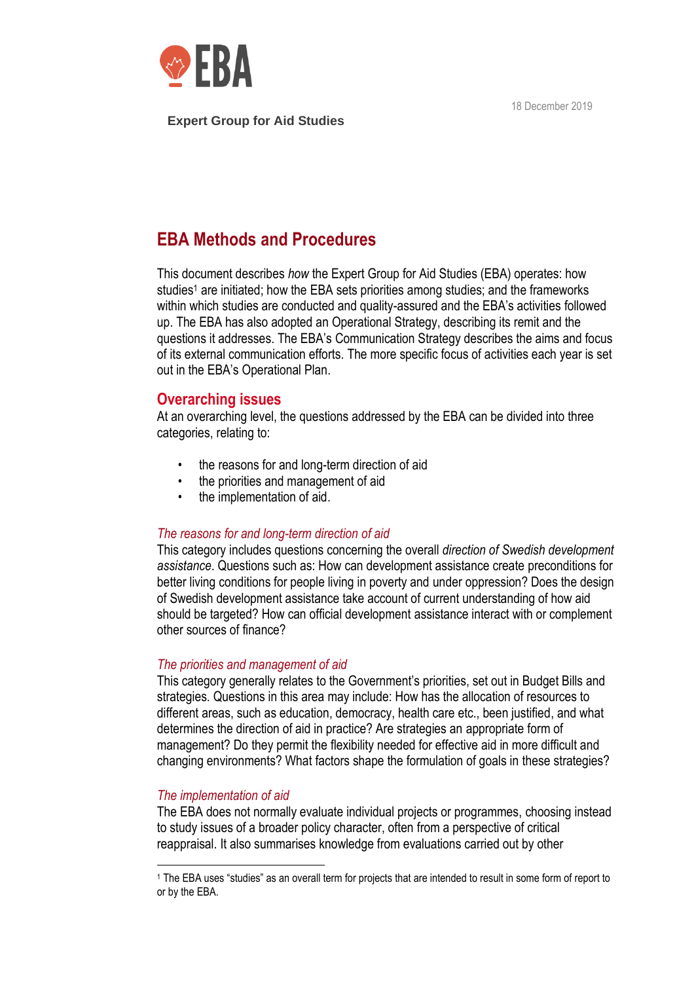18 December 2019



### **Expert Group for Aid Studies**

# **EBA Methods and Procedures**

This document describes *how* the Expert Group for Aid Studies (EBA) operates: how studies<sup>1</sup> are initiated; how the EBA sets priorities among studies; and the frameworks within which studies are conducted and quality-assured and the EBA's activities followed up. The EBA has also adopted an Operational Strategy, describing its remit and the questions it addresses. The EBA's Communication Strategy describes the aims and focus of its external communication efforts. The more specific focus of activities each year is set out in the EBA's Operational Plan.

## **Overarching issues**

At an overarching level, the questions addressed by the EBA can be divided into three categories, relating to:

- the reasons for and long-term direction of aid
- the priorities and management of aid
- the implementation of aid.

### *The reasons for and long-term direction of aid*

This category includes questions concerning the overall *direction of Swedish development assistance*. Questions such as: How can development assistance create preconditions for better living conditions for people living in poverty and under oppression? Does the design of Swedish development assistance take account of current understanding of how aid should be targeted? How can official development assistance interact with or complement other sources of finance?

### *The priorities and management of aid*

This category generally relates to the Government's priorities, set out in Budget Bills and strategies. Questions in this area may include: How has the allocation of resources to different areas, such as education, democracy, health care etc., been justified, and what determines the direction of aid in practice? Are strategies an appropriate form of management? Do they permit the flexibility needed for effective aid in more difficult and changing environments? What factors shape the formulation of goals in these strategies?

## *The implementation of aid*

The EBA does not normally evaluate individual projects or programmes, choosing instead to study issues of a broader policy character, often from a perspective of critical reappraisal. It also summarises knowledge from evaluations carried out by other

<sup>1</sup> The EBA uses "studies" as an overall term for projects that are intended to result in some form of report to or by the EBA.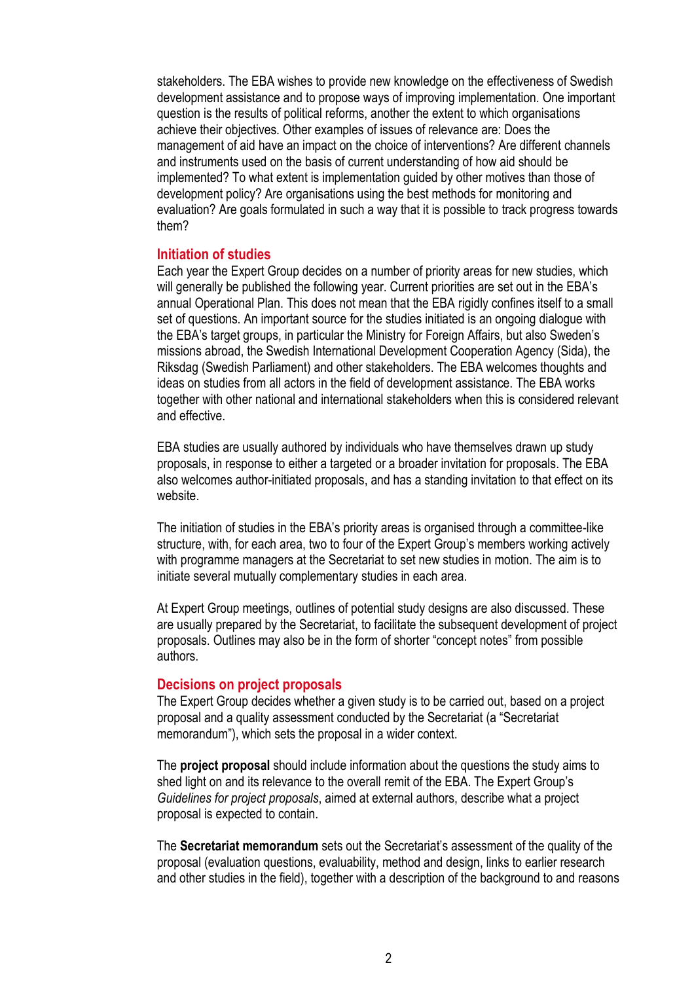stakeholders. The EBA wishes to provide new knowledge on the effectiveness of Swedish development assistance and to propose ways of improving implementation. One important question is the results of political reforms, another the extent to which organisations achieve their objectives. Other examples of issues of relevance are: Does the management of aid have an impact on the choice of interventions? Are different channels and instruments used on the basis of current understanding of how aid should be implemented? To what extent is implementation guided by other motives than those of development policy? Are organisations using the best methods for monitoring and evaluation? Are goals formulated in such a way that it is possible to track progress towards them?

### **Initiation of studies**

Each year the Expert Group decides on a number of priority areas for new studies, which will generally be published the following year. Current priorities are set out in the EBA's annual Operational Plan. This does not mean that the EBA rigidly confines itself to a small set of questions. An important source for the studies initiated is an ongoing dialogue with the EBA's target groups, in particular the Ministry for Foreign Affairs, but also Sweden's missions abroad, the Swedish International Development Cooperation Agency (Sida), the Riksdag (Swedish Parliament) and other stakeholders. The EBA welcomes thoughts and ideas on studies from all actors in the field of development assistance. The EBA works together with other national and international stakeholders when this is considered relevant and effective.

EBA studies are usually authored by individuals who have themselves drawn up study proposals, in response to either a targeted or a broader invitation for proposals. The EBA also welcomes author-initiated proposals, and has a standing invitation to that effect on its website.

The initiation of studies in the EBA's priority areas is organised through a committee-like structure, with, for each area, two to four of the Expert Group's members working actively with programme managers at the Secretariat to set new studies in motion. The aim is to initiate several mutually complementary studies in each area.

At Expert Group meetings, outlines of potential study designs are also discussed. These are usually prepared by the Secretariat, to facilitate the subsequent development of project proposals. Outlines may also be in the form of shorter "concept notes" from possible authors.

#### **Decisions on project proposals**

The Expert Group decides whether a given study is to be carried out, based on a project proposal and a quality assessment conducted by the Secretariat (a "Secretariat memorandum"), which sets the proposal in a wider context.

The **project proposal** should include information about the questions the study aims to shed light on and its relevance to the overall remit of the EBA. The Expert Group's *Guidelines for project proposals*, aimed at external authors, describe what a project proposal is expected to contain.

The **Secretariat memorandum** sets out the Secretariat's assessment of the quality of the proposal (evaluation questions, evaluability, method and design, links to earlier research and other studies in the field), together with a description of the background to and reasons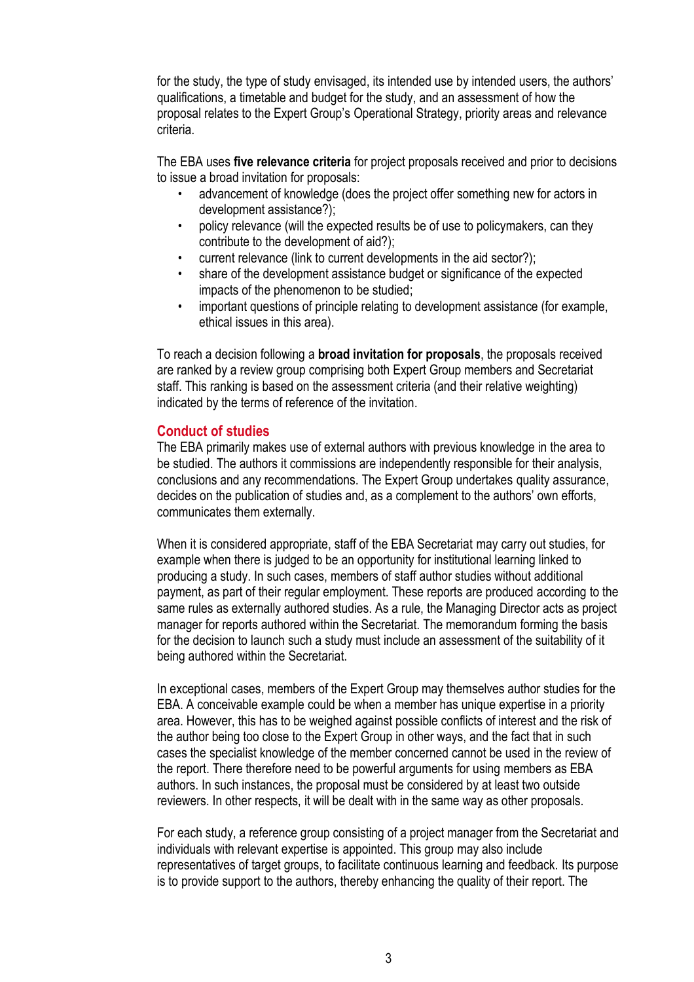for the study, the type of study envisaged, its intended use by intended users, the authors' qualifications, a timetable and budget for the study, and an assessment of how the proposal relates to the Expert Group's Operational Strategy, priority areas and relevance criteria.

The EBA uses **five relevance criteria** for project proposals received and prior to decisions to issue a broad invitation for proposals:

- advancement of knowledge (does the project offer something new for actors in development assistance?);
- policy relevance (will the expected results be of use to policymakers, can they contribute to the development of aid?);
- current relevance (link to current developments in the aid sector?);
- share of the development assistance budget or significance of the expected impacts of the phenomenon to be studied;
- important questions of principle relating to development assistance (for example, ethical issues in this area).

To reach a decision following a **broad invitation for proposals**, the proposals received are ranked by a review group comprising both Expert Group members and Secretariat staff. This ranking is based on the assessment criteria (and their relative weighting) indicated by the terms of reference of the invitation.

## **Conduct of studies**

The EBA primarily makes use of external authors with previous knowledge in the area to be studied. The authors it commissions are independently responsible for their analysis, conclusions and any recommendations. The Expert Group undertakes quality assurance, decides on the publication of studies and, as a complement to the authors' own efforts, communicates them externally.

When it is considered appropriate, staff of the EBA Secretariat may carry out studies, for example when there is judged to be an opportunity for institutional learning linked to producing a study. In such cases, members of staff author studies without additional payment, as part of their regular employment. These reports are produced according to the same rules as externally authored studies. As a rule, the Managing Director acts as project manager for reports authored within the Secretariat. The memorandum forming the basis for the decision to launch such a study must include an assessment of the suitability of it being authored within the Secretariat.

In exceptional cases, members of the Expert Group may themselves author studies for the EBA. A conceivable example could be when a member has unique expertise in a priority area. However, this has to be weighed against possible conflicts of interest and the risk of the author being too close to the Expert Group in other ways, and the fact that in such cases the specialist knowledge of the member concerned cannot be used in the review of the report. There therefore need to be powerful arguments for using members as EBA authors. In such instances, the proposal must be considered by at least two outside reviewers. In other respects, it will be dealt with in the same way as other proposals.

For each study, a reference group consisting of a project manager from the Secretariat and individuals with relevant expertise is appointed. This group may also include representatives of target groups, to facilitate continuous learning and feedback. Its purpose is to provide support to the authors, thereby enhancing the quality of their report. The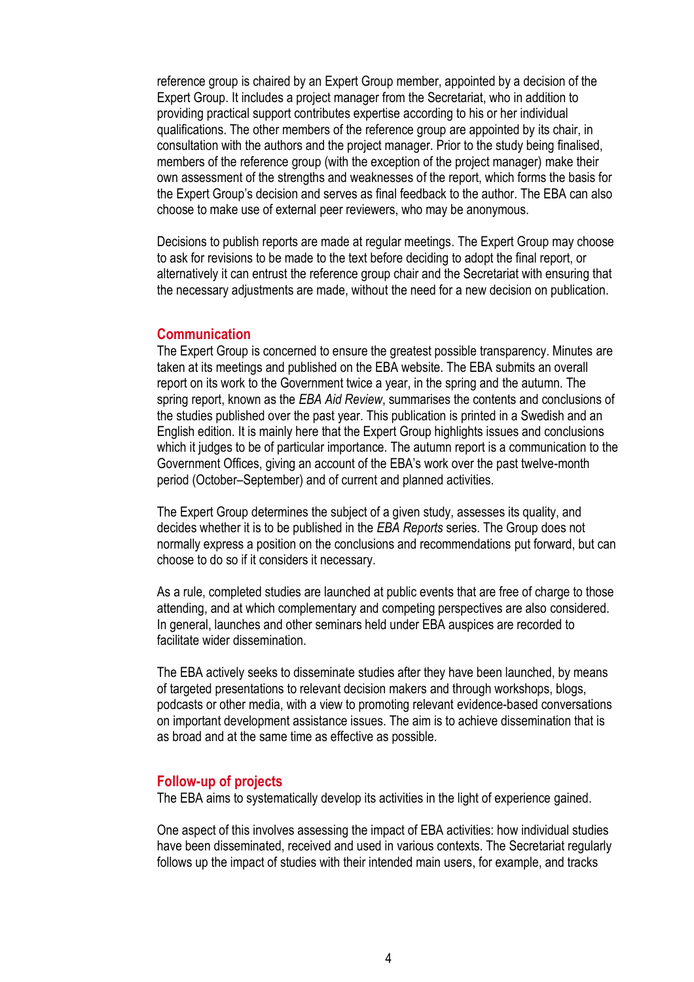reference group is chaired by an Expert Group member, appointed by a decision of the Expert Group. It includes a project manager from the Secretariat, who in addition to providing practical support contributes expertise according to his or her individual qualifications. The other members of the reference group are appointed by its chair, in consultation with the authors and the project manager. Prior to the study being finalised, members of the reference group (with the exception of the project manager) make their own assessment of the strengths and weaknesses of the report, which forms the basis for the Expert Group's decision and serves as final feedback to the author. The EBA can also choose to make use of external peer reviewers, who may be anonymous.

Decisions to publish reports are made at regular meetings. The Expert Group may choose to ask for revisions to be made to the text before deciding to adopt the final report, or alternatively it can entrust the reference group chair and the Secretariat with ensuring that the necessary adjustments are made, without the need for a new decision on publication.

### **Communication**

The Expert Group is concerned to ensure the greatest possible transparency. Minutes are taken at its meetings and published on the EBA website. The EBA submits an overall report on its work to the Government twice a year, in the spring and the autumn. The spring report, known as the *EBA Aid Review*, summarises the contents and conclusions of the studies published over the past year. This publication is printed in a Swedish and an English edition. It is mainly here that the Expert Group highlights issues and conclusions which it judges to be of particular importance. The autumn report is a communication to the Government Offices, giving an account of the EBA's work over the past twelve-month period (October–September) and of current and planned activities.

The Expert Group determines the subject of a given study, assesses its quality, and decides whether it is to be published in the *EBA Reports* series. The Group does not normally express a position on the conclusions and recommendations put forward, but can choose to do so if it considers it necessary.

As a rule, completed studies are launched at public events that are free of charge to those attending, and at which complementary and competing perspectives are also considered. In general, launches and other seminars held under EBA auspices are recorded to facilitate wider dissemination.

The EBA actively seeks to disseminate studies after they have been launched, by means of targeted presentations to relevant decision makers and through workshops, blogs, podcasts or other media, with a view to promoting relevant evidence-based conversations on important development assistance issues. The aim is to achieve dissemination that is as broad and at the same time as effective as possible.

#### **Follow-up of projects**

The EBA aims to systematically develop its activities in the light of experience gained.

One aspect of this involves assessing the impact of EBA activities: how individual studies have been disseminated, received and used in various contexts. The Secretariat regularly follows up the impact of studies with their intended main users, for example, and tracks